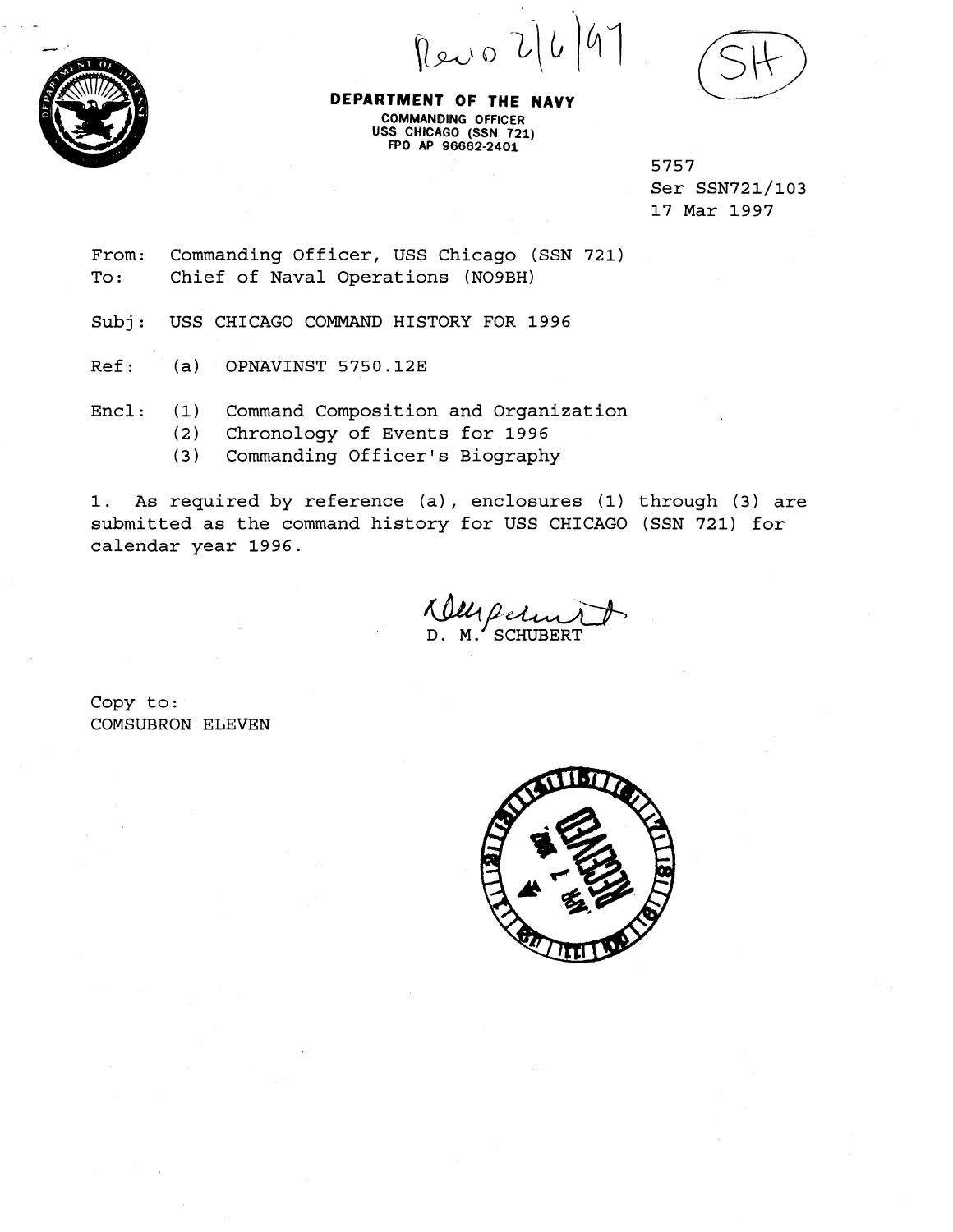Revo 2/6



**DEPARTMENT OF THE NAVY** \\_.,-/ **COMMANOING OFFICER USS CHIC4GO (SSN 721) FPO AP 96662-2401** 

> 5757 Ser SSN721/103 17 Mar 1997

From: Commanding Officer, USS Chicago (SSN 721)<br>To: Chief of Naval Operations (NO9BH) Chief of Naval Operations (NO9BH)

Subj: USS CHICAGO COMMAND HISTORY FOR 1996

Ref: (a) OPNAVINST 5750.12E

Encl: (1) Command Composition and Organization

- (2) Chronology of Events for 1996
- (3) Commanding Officer's Biography

1. As required by reference (a), enclosures (1) through (3) are submitted as the command history for USS CHICAGO (SSN 721) for calendar year 1996.

Ulli Petin

Copy to : COMSUBRON ELEVEN

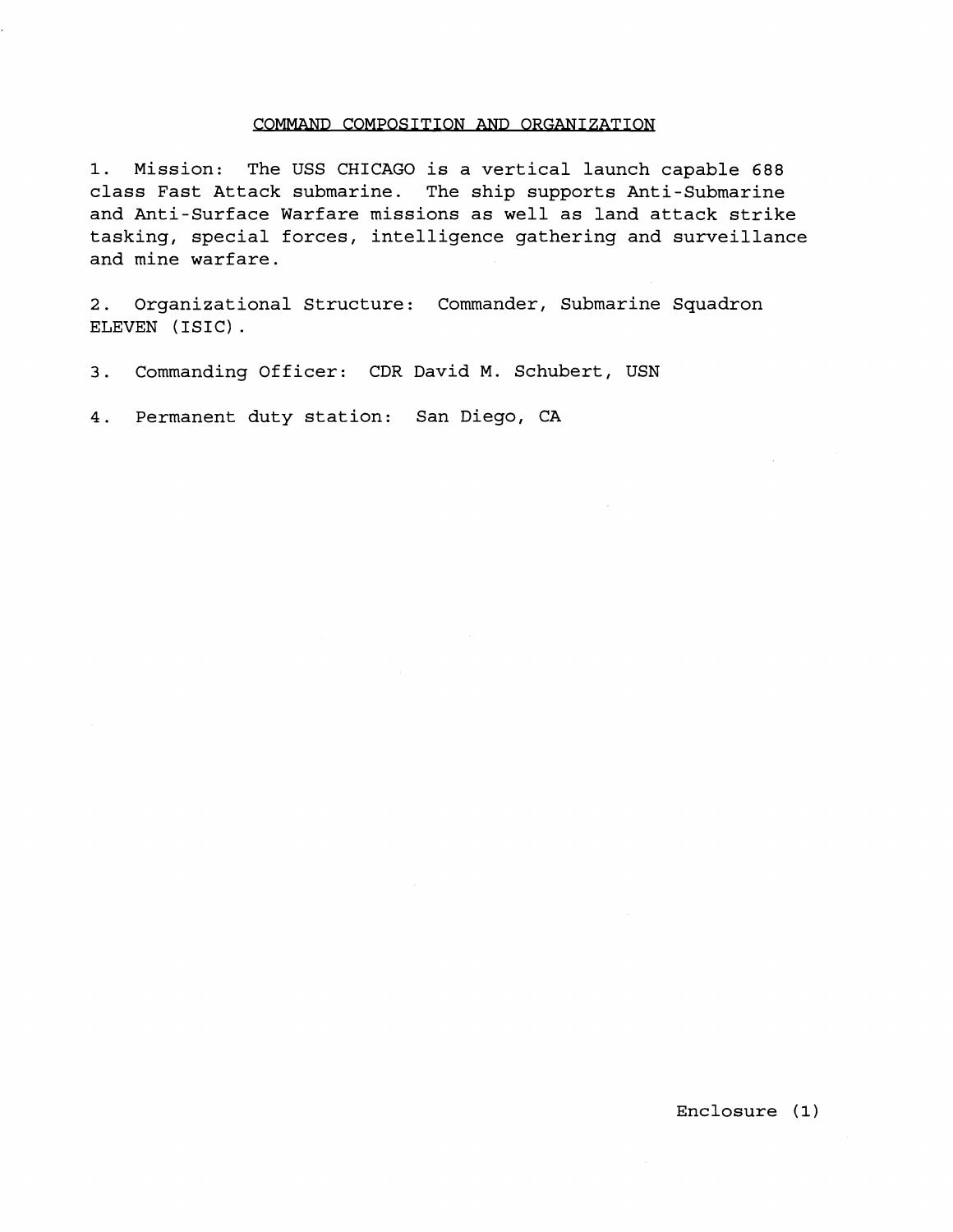## COMMAND COMPOSITION AND ORGANIZATION

1. Mission: The USS CHICAGO is a vertical launch capable 688 class Fast Attack submarine. The ship supports Anti-Submarine and Anti-Surface Warfare missions as well as land attack strike tasking, special forces, intelligence gathering and surveillance and mine warfare.

2. Organizational Structure: Commander, Submarine Squadron ELEVEN (ISIC) .

3. Commanding Officer: CDR David M. Schubert, USN

4. Permanent duty station: San Diego, CA

Enclosure (1)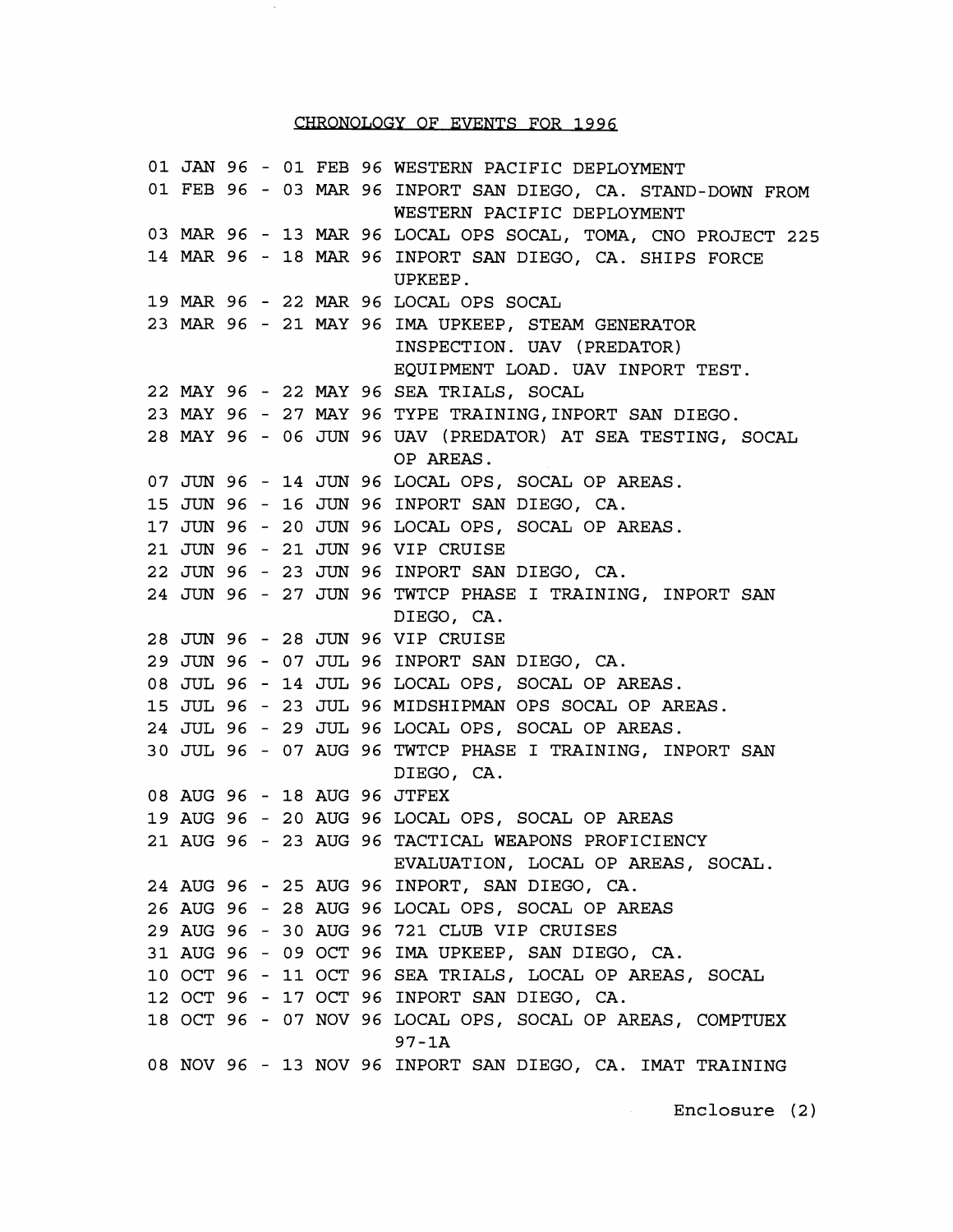## CHRONOLOGY OF EVENTS FOR 1996

JAN 96 - 01 FEB 96 WESTERN PACIFIC DEPLOYMENT FEB 96 - 03 *MAR*  96 INPORT SAN DIEGO, CA. STAND-DOWN FROM *MAR*  96 - 13 *MAR*  96 LOCAL OPS SOCAL, TOMA, CNO PROJECT 225 *MAR*  96 - 18 *MAR*  96 INPORT SAN DIEGO, CA. SHIPS FORCE *MAR*  96 - 22 *MAR*  96 LOCAL OPS SOCAL *MAR*  96 - 21 MAY 96 IMA UPKEEP, STEAM GENERATOR MAY 96 - 22 MAY 96 SEA TRIALS, SOCAL 23 MAY 96 - 27 MAY 96 TYPE TRAINING, INPORT SAN DIEGO. MAY 96 - 06 JUN 96 UAV (PREDATOR) AT SEA TESTING, SOCAL JUN 96 - 14 JUN 96 LOCAL OPS, SOCAL OP AREAS. JUN 96 - 16 JUN 96 INPORT SAN DIEGO, CA. JTJN 96 - 20 JUN 96 LOCAL OPS, SOCAL OP AREAS. JUN 96 - 21 JUN 96 VIP CRUISE JUN 96 - 23 JUN 96 INPORT SAN DIEGO, CA. JUN 96 - 27 JUN 96 TWTCP PHASE I TRAINING, INPORT SAN JUN 96 - 28 JUN 96 VIP CRUISE JUN 96 - 07 JUL 96 INPORT SAN DIEGO, CA. JUL 96 - 14 JUL 96 LOCAL OPS, SOCAL OP AREAS. JUL 96 - 23 JUL 96 MIDSHIPMAN OPS SOCAL OP AREAS. JUL 96 - 29 JUL 96 LOCAL OPS, SOCAL OP AREAS. JUL 96 - 07 AUG 96 TWTCP PHASE I TRAINING, INPORT SAN 08 AUG 96 - 18 AUG 96 JTFEX AUG 96 - 20 AUG 96 LOCAL OPS, SOCAL OP AREAS AUG 96 - 23 AUG 96 TACTICAL WEAPONS PROFICIENCY AUG 96 - 25 AUG 96 INPORT, SAN DIEGO, CA. AUG 96 - 28 AUG 96 LOCAL OPS, SOCAL OP AREAS AUG 96 - 30 AUG 96 721 CLUB VIP CRUISES AUG 96 - 09 OCT 96 IMA UPKEEP, SAN DIEGO, CA. 31 AGG 50 65 601 50 INN STRENT, SIN BIRGO, CN.<br>10 OCT 96 - 11 OCT 96 SEA TRIALS, LOCAL OP AREAS, SOCAL OCT 96 - 17 OCT 96 INPORT SAN DIEGO, CA. OCT 96 - 07 NOV 96 LOCAL OPS, SOCAL OP AREAS, COMPTUEX NOV 96 - 13 NOV 96 INPORT SAN DIEGO, CA. IMAT TRAINING WESTERN PACIFIC DEPLOYMENT UPKEEP. INSPECTION. UAV (PREDATOR) EQUIPMENT LOAD. UAV INPORT TEST. OP AREAS. DIEGO, CA. DIEGO, CA. EVALUATION, LOCAL OP AREAS, SOCAL. 97-1A

Enclosure (2)